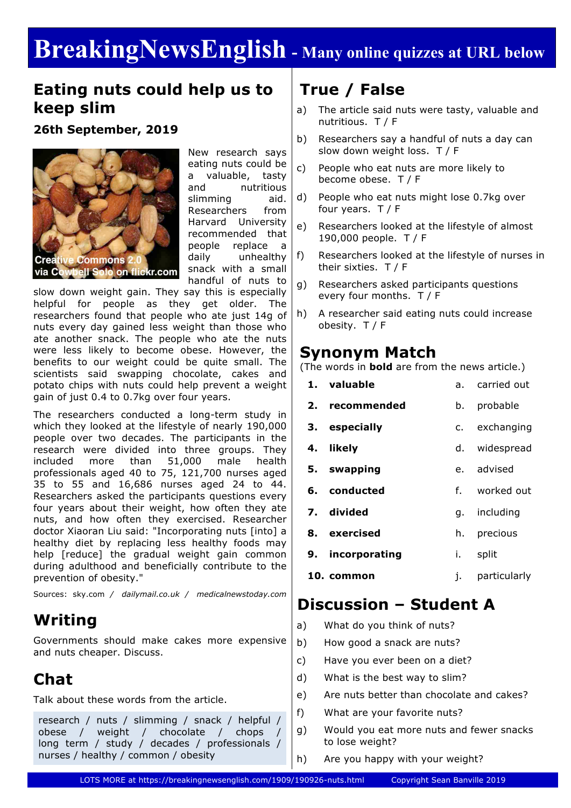# **BreakingNewsEnglish - Many online quizzes at URL below**

#### **Eating nuts could help us to keep slim**

**26th September, 2019**



New research says eating nuts could be a valuable, tasty and nutritious slimming aid. Researchers from Harvard University recommended that people replace a daily unhealthy snack with a small handful of nuts to

slow down weight gain. They say this is especially helpful for people as they get older. The researchers found that people who ate just 14g of nuts every day gained less weight than those who ate another snack. The people who ate the nuts were less likely to become obese. However, the benefits to our weight could be quite small. The scientists said swapping chocolate, cakes and potato chips with nuts could help prevent a weight gain of just 0.4 to 0.7kg over four years.

The researchers conducted a long-term study in which they looked at the lifestyle of nearly 190,000 people over two decades. The participants in the research were divided into three groups. They included more than 51,000 male health professionals aged 40 to 75, 121,700 nurses aged 35 to 55 and 16,686 nurses aged 24 to 44. Researchers asked the participants questions every four years about their weight, how often they ate nuts, and how often they exercised. Researcher doctor Xiaoran Liu said: "Incorporating nuts [into] a healthy diet by replacing less healthy foods may help [reduce] the gradual weight gain common during adulthood and beneficially contribute to the prevention of obesity."

Sources: sky.com */ dailymail.co.uk / medicalnewstoday.com*

### **Writing**

Governments should make cakes more expensive and nuts cheaper. Discuss.

### **Chat**

Talk about these words from the article.

research / nuts / slimming / snack / helpful / obese / weight / chocolate / chops long term / study / decades / professionals / nurses / healthy / common / obesity

### **True / False**

- a) The article said nuts were tasty, valuable and nutritious. T / F
- b) Researchers say a handful of nuts a day can slow down weight loss. T / F
- c) People who eat nuts are more likely to become obese. T / F
- d) People who eat nuts might lose 0.7kg over four years. T / F
- e) Researchers looked at the lifestyle of almost 190,000 people. T / F
- f) Researchers looked at the lifestyle of nurses in their sixties. T / F
- g) Researchers asked participants questions every four months. T / F
- h) A researcher said eating nuts could increase obesity. T / F

#### **Synonym Match**

(The words in **bold** are from the news article.)

| 1. valuable      |      | a. carried out |  |
|------------------|------|----------------|--|
| 2. recommended   | b.   | probable       |  |
| 3. especially    |      | c. exchanging  |  |
| 4. likely        |      | d. widespread  |  |
| 5. swapping      |      | e. advised     |  |
| 6. conducted     |      | f. worked out  |  |
| 7. divided       |      | g. including   |  |
| 8. exercised     | h.   | precious       |  |
| 9. incorporating | i. I | split          |  |
| 10. common       | j.   | particularly   |  |

#### **Discussion – Student A**

- a) What do you think of nuts?
- b) How good a snack are nuts?
- c) Have you ever been on a diet?
- d) What is the best way to slim?
- e) Are nuts better than chocolate and cakes?
- f) What are your favorite nuts?
- g) Would you eat more nuts and fewer snacks to lose weight?
- h) Are you happy with your weight?